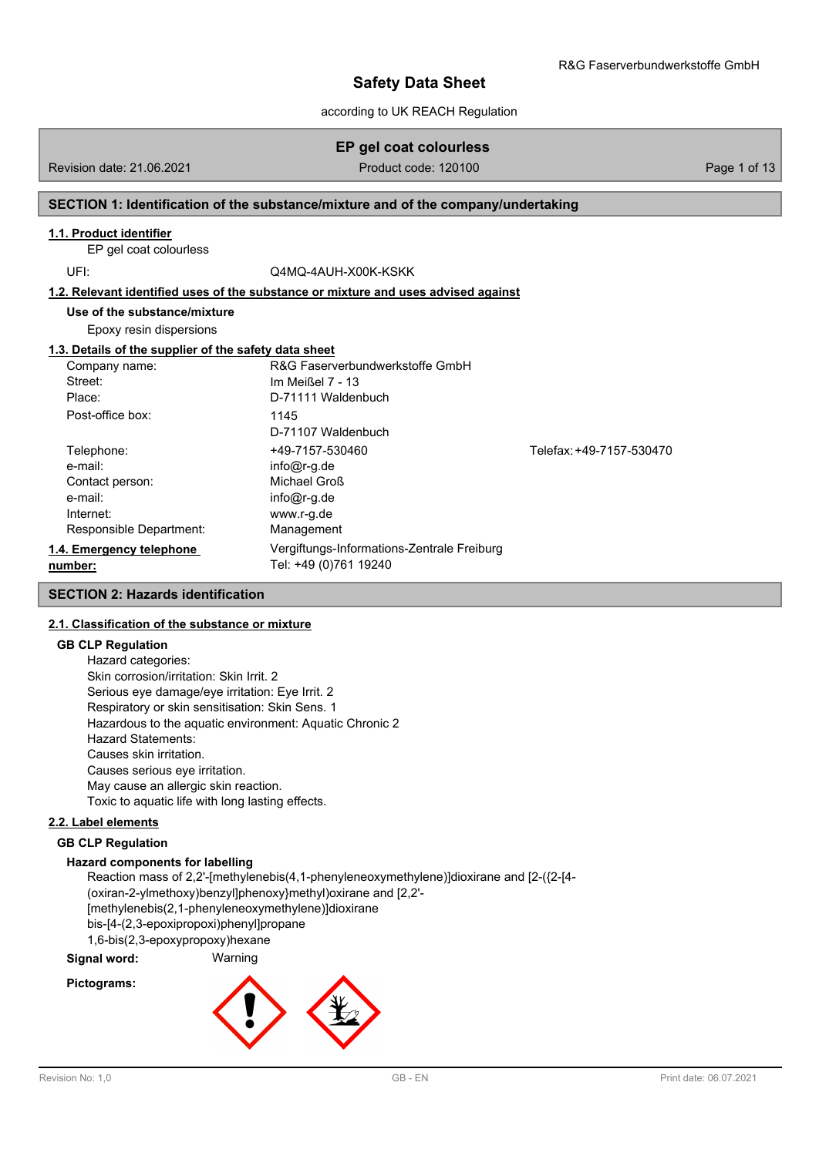according to UK REACH Regulation

## **EP gel coat colourless**

Revision date: 21.06.2021 **Product code: 120100** Page 1 of 13

### **SECTION 1: Identification of the substance/mixture and of the company/undertaking**

### **1.1. Product identifier**

EP gel coat colourless

UFI: Q4MQ-4AUH-X00K-KSKK

#### **1.2. Relevant identified uses of the substance or mixture and uses advised against**

**Use of the substance/mixture**

Epoxy resin dispersions

#### **1.3. Details of the supplier of the safety data sheet**

| Company name:            | R&G Faserverbundwerkstoffe GmbH            |                          |
|--------------------------|--------------------------------------------|--------------------------|
| Street:                  | Im Meißel 7 - 13                           |                          |
| Place:                   | D-71111 Waldenbuch                         |                          |
| Post-office box:         | 1145                                       |                          |
|                          | D-71107 Waldenbuch                         |                          |
| Telephone:               | +49-7157-530460                            | Telefax: +49-7157-530470 |
| e-mail:                  | $info@r-q.de$                              |                          |
| Contact person:          | Michael Groß                               |                          |
| e-mail:                  | $info@r-q.de$                              |                          |
| Internet:                | www.r-g.de                                 |                          |
| Responsible Department:  | Management                                 |                          |
| 1.4. Emergency telephone | Vergiftungs-Informations-Zentrale Freiburg |                          |
| number:                  | Tel: +49 (0)761 19240                      |                          |

#### **SECTION 2: Hazards identification**

### **2.1. Classification of the substance or mixture**

#### **GB CLP Regulation**

Hazard categories: Skin corrosion/irritation: Skin Irrit. 2 Serious eye damage/eye irritation: Eye Irrit. 2 Respiratory or skin sensitisation: Skin Sens. 1 Hazardous to the aquatic environment: Aquatic Chronic 2 Hazard Statements: Causes skin irritation. Causes serious eye irritation. May cause an allergic skin reaction. Toxic to aquatic life with long lasting effects.

#### **2.2. Label elements**

#### **GB CLP Regulation**

### **Hazard components for labelling**

Reaction mass of 2,2'-[methylenebis(4,1-phenyleneoxymethylene)]dioxirane and [2-({2-[4- (oxiran-2-ylmethoxy)benzyl]phenoxy}methyl)oxirane and [2,2'- [methylenebis(2,1-phenyleneoxymethylene)]dioxirane bis-[4-(2,3-epoxipropoxi)phenyl]propane 1,6-bis(2,3-epoxypropoxy)hexane

**Signal word:** Warning

### **Pictograms:**

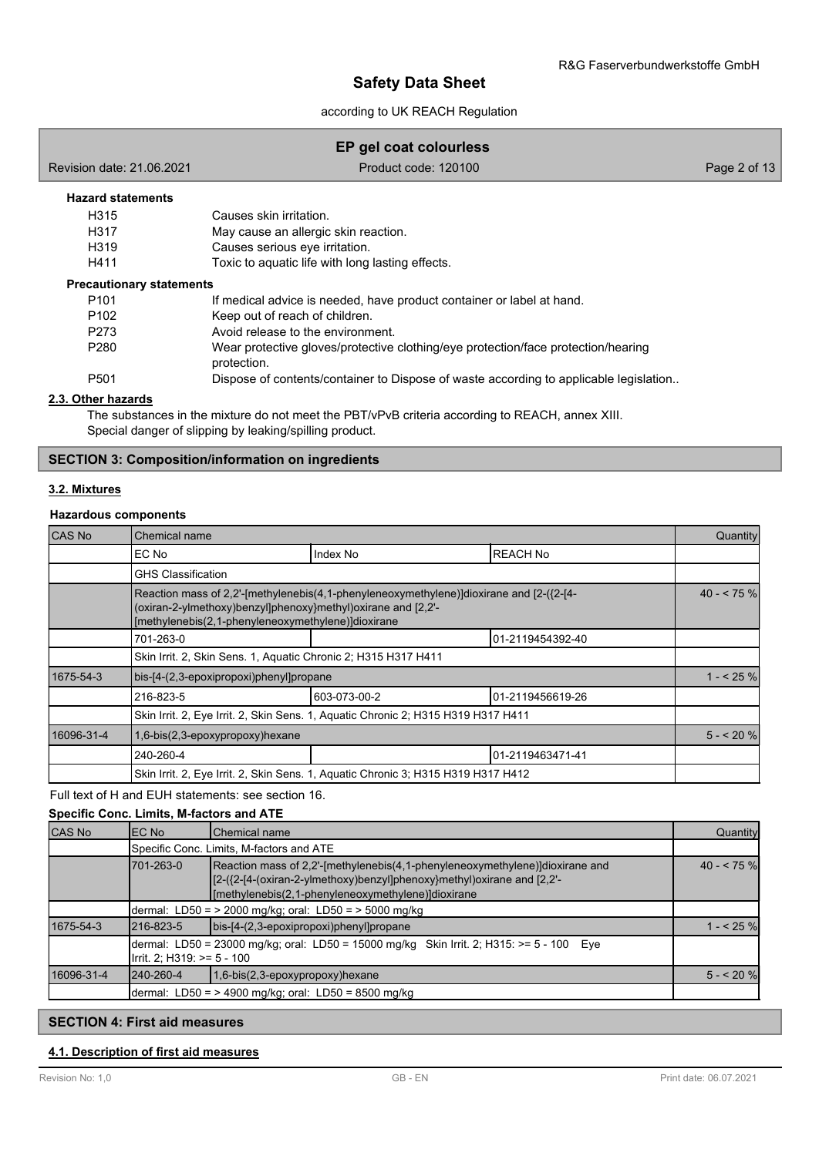according to UK REACH Regulation

## **EP gel coat colourless**

Revision date: 21.06.2021 **Product code: 120100** Page 2 of 13

### **Hazard statements**

| H <sub>315</sub>  | Causes skin irritation.                          |
|-------------------|--------------------------------------------------|
| H317              | May cause an allergic skin reaction.             |
| H <sub>3</sub> 19 | Causes serious eye irritation.                   |
| H411              | Toxic to aguatic life with long lasting effects. |

#### **Precautionary statements**

| P <sub>101</sub> | If medical advice is needed, have product container or label at hand.                            |
|------------------|--------------------------------------------------------------------------------------------------|
| P <sub>102</sub> | Keep out of reach of children.                                                                   |
| P273             | Avoid release to the environment.                                                                |
| P <sub>280</sub> | Wear protective gloves/protective clothing/eye protection/face protection/hearing<br>protection. |
| P <sub>501</sub> | Dispose of contents/container to Dispose of waste according to applicable legislation            |

### **2.3. Other hazards**

The substances in the mixture do not meet the PBT/vPvB criteria according to REACH, annex XIII. Special danger of slipping by leaking/spilling product.

### **SECTION 3: Composition/information on ingredients**

### **3.2. Mixtures**

### **Hazardous components**

| CAS No     | Chemical name                                                                                                                                                                                                 |                  |                  |  |  |  |
|------------|---------------------------------------------------------------------------------------------------------------------------------------------------------------------------------------------------------------|------------------|------------------|--|--|--|
|            | IEC No                                                                                                                                                                                                        | Index No         | <b>REACH No</b>  |  |  |  |
|            | <b>GHS Classification</b>                                                                                                                                                                                     |                  |                  |  |  |  |
|            | Reaction mass of 2,2'-[methylenebis(4,1-phenyleneoxymethylene)]dioxirane and [2-({2-[4-<br>(oxiran-2-ylmethoxy)benzyl]phenoxy}methyl)oxirane and [2,2'-<br>[methylenebis(2,1-phenyleneoxymethylene)]dioxirane |                  |                  |  |  |  |
|            | 701-263-0                                                                                                                                                                                                     | 01-2119454392-40 |                  |  |  |  |
|            | Skin Irrit. 2, Skin Sens. 1, Aquatic Chronic 2; H315 H317 H411                                                                                                                                                |                  |                  |  |  |  |
| 1675-54-3  | bis-[4-(2,3-epoxipropoxi)phenyl]propane                                                                                                                                                                       |                  |                  |  |  |  |
|            | 216-823-5                                                                                                                                                                                                     | 603-073-00-2     | 01-2119456619-26 |  |  |  |
|            | Skin Irrit. 2, Eye Irrit. 2, Skin Sens. 1, Aquatic Chronic 2; H315 H319 H317 H411                                                                                                                             |                  |                  |  |  |  |
| 16096-31-4 | 1,6-bis(2,3-epoxypropoxy)hexane                                                                                                                                                                               |                  |                  |  |  |  |
|            | 240-260-4                                                                                                                                                                                                     |                  | 01-2119463471-41 |  |  |  |
|            | Skin Irrit. 2, Eye Irrit. 2, Skin Sens. 1, Aquatic Chronic 3; H315 H319 H317 H412                                                                                                                             |                  |                  |  |  |  |

### Full text of H and EUH statements: see section 16.

#### **Specific Conc. Limits, M-factors and ATE**

| <b>CAS No</b> | EC No                                                                                                                                                                                                                         | <b>I</b> Chemical name                                                                   | Quantity   |  |  |
|---------------|-------------------------------------------------------------------------------------------------------------------------------------------------------------------------------------------------------------------------------|------------------------------------------------------------------------------------------|------------|--|--|
|               |                                                                                                                                                                                                                               | Specific Conc. Limits, M-factors and ATE                                                 |            |  |  |
|               | Reaction mass of 2,2'-[methylenebis(4,1-phenyleneoxymethylene)]dioxirane and<br>701-263-0<br>[2-({2-[4-(oxiran-2-ylmethoxy)benzyl]phenoxy}methyl)oxirane and [2,2'-<br>$[$ [methylenebis(2,1-phenyleneoxymethylene)]dioxirane |                                                                                          |            |  |  |
|               | dermal: LD50 = > 2000 mg/kg; oral: LD50 = > 5000 mg/kg                                                                                                                                                                        |                                                                                          |            |  |  |
| 1675-54-3     | 216-823-5                                                                                                                                                                                                                     | bis-[4-(2,3-epoxipropoxi)phenyl]propane                                                  | $1 - 25$ % |  |  |
|               | Irrit. 2; H319: $>= 5 - 100$                                                                                                                                                                                                  | dermal: LD50 = 23000 mg/kg; oral: LD50 = 15000 mg/kg Skin Irrit. 2; H315: >= 5 - 100 Eye |            |  |  |
| 16096-31-4    | 240-260-4                                                                                                                                                                                                                     | $1,6-bis(2,3-epoxypropoxy)hexane$                                                        | $5 - 20$ % |  |  |
|               | dermal: LD50 = $>$ 4900 mg/kg; oral: LD50 = 8500 mg/kg                                                                                                                                                                        |                                                                                          |            |  |  |

### **SECTION 4: First aid measures**

### **4.1. Description of first aid measures**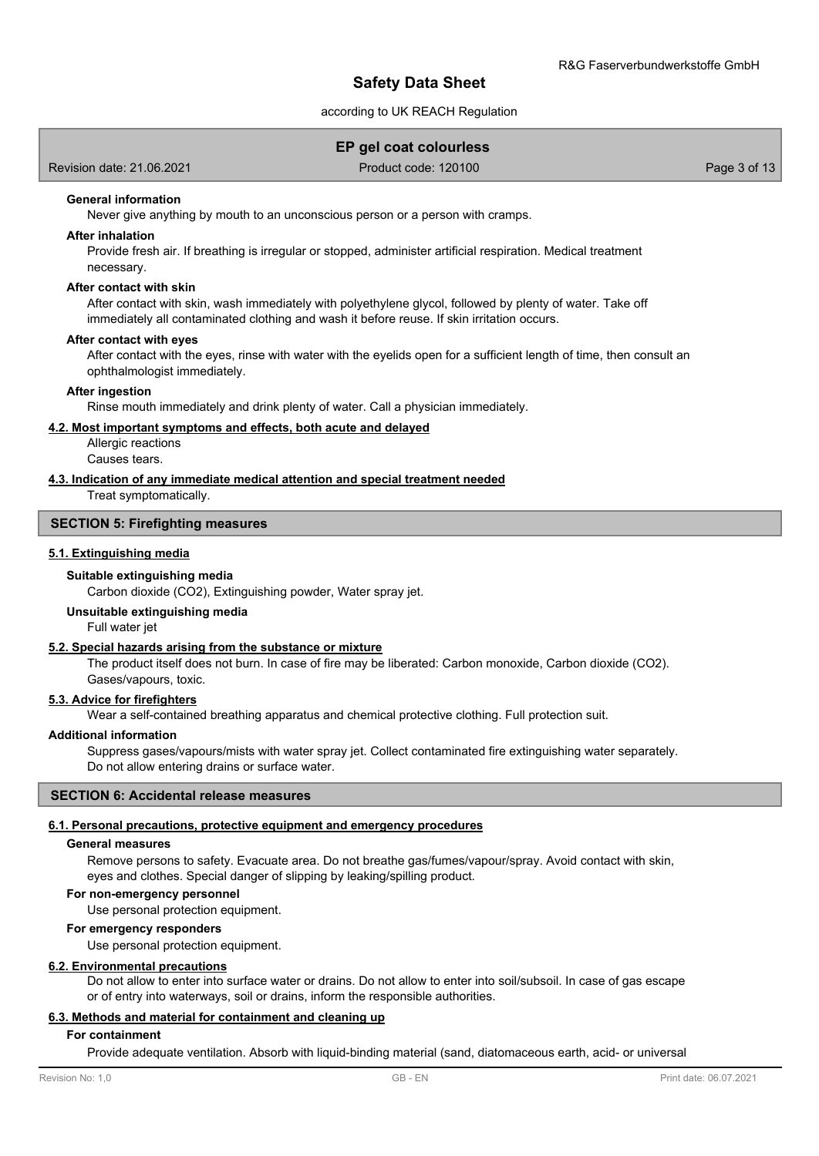### according to UK REACH Regulation

# **EP gel coat colourless**

Revision date: 21.06.2021 **Product code: 120100** Page 3 of 13

### **General information**

Never give anything by mouth to an unconscious person or a person with cramps.

#### **After inhalation**

Provide fresh air. If breathing is irregular or stopped, administer artificial respiration. Medical treatment necessary.

#### **After contact with skin**

After contact with skin, wash immediately with polyethylene glycol, followed by plenty of water. Take off immediately all contaminated clothing and wash it before reuse. If skin irritation occurs.

#### **After contact with eyes**

After contact with the eyes, rinse with water with the eyelids open for a sufficient length of time, then consult an ophthalmologist immediately.

#### **After ingestion**

Rinse mouth immediately and drink plenty of water. Call a physician immediately.

### **4.2. Most important symptoms and effects, both acute and delayed**

Allergic reactions Causes tears.

### **4.3. Indication of any immediate medical attention and special treatment needed**

Treat symptomatically.

#### **SECTION 5: Firefighting measures**

#### **5.1. Extinguishing media**

#### **Suitable extinguishing media**

Carbon dioxide (CO2), Extinguishing powder, Water spray jet.

#### **Unsuitable extinguishing media**

Full water jet

### **5.2. Special hazards arising from the substance or mixture**

The product itself does not burn. In case of fire may be liberated: Carbon monoxide, Carbon dioxide (CO2). Gases/vapours, toxic.

#### **5.3. Advice for firefighters**

Wear a self-contained breathing apparatus and chemical protective clothing. Full protection suit.

#### **Additional information**

Suppress gases/vapours/mists with water spray jet. Collect contaminated fire extinguishing water separately. Do not allow entering drains or surface water.

#### **SECTION 6: Accidental release measures**

#### **6.1. Personal precautions, protective equipment and emergency procedures**

#### **General measures**

Remove persons to safety. Evacuate area. Do not breathe gas/fumes/vapour/spray. Avoid contact with skin, eyes and clothes. Special danger of slipping by leaking/spilling product.

#### **For non-emergency personnel**

Use personal protection equipment.

#### **For emergency responders**

Use personal protection equipment.

#### **6.2. Environmental precautions**

Do not allow to enter into surface water or drains. Do not allow to enter into soil/subsoil. In case of gas escape or of entry into waterways, soil or drains, inform the responsible authorities.

#### **6.3. Methods and material for containment and cleaning up**

#### **For containment**

Provide adequate ventilation. Absorb with liquid-binding material (sand, diatomaceous earth, acid- or universal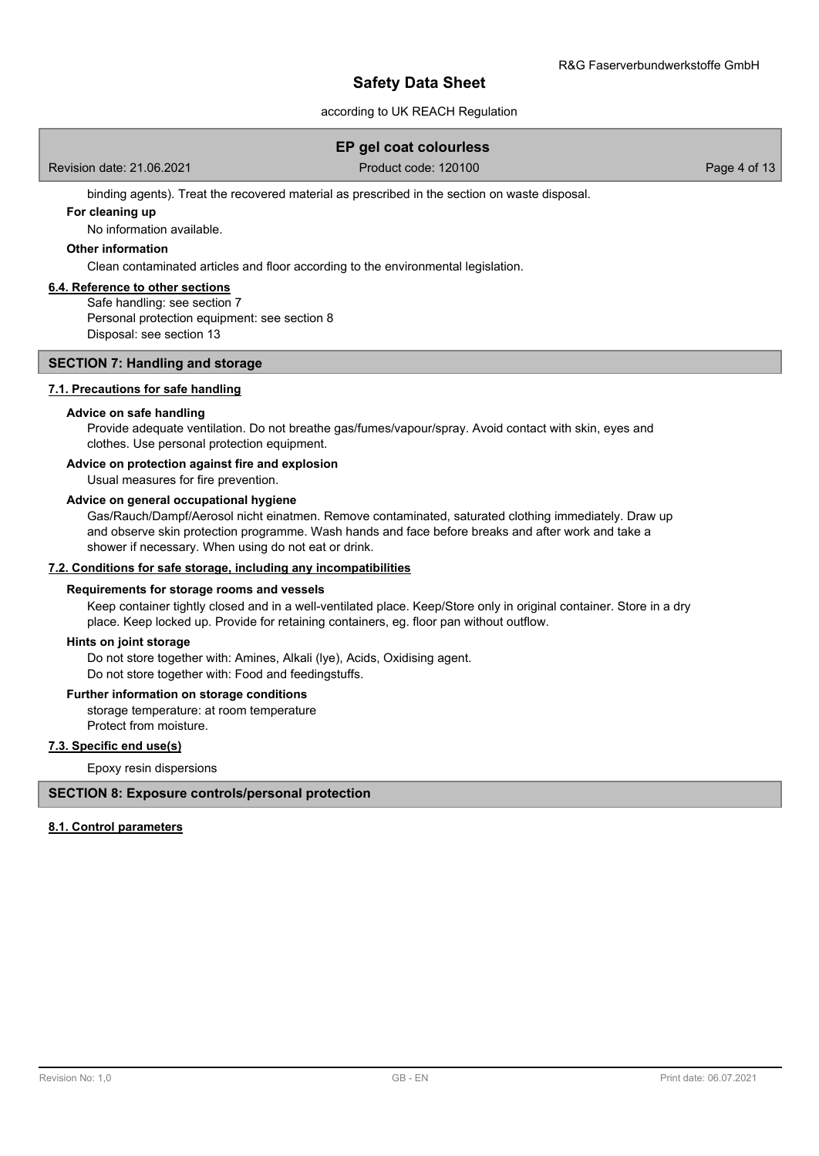### according to UK REACH Regulation

### **EP gel coat colourless**

Revision date: 21.06.2021 **Product code: 120100** Product code: 120100 Page 4 of 13

binding agents). Treat the recovered material as prescribed in the section on waste disposal.

#### **For cleaning up**

No information available.

### **Other information**

Clean contaminated articles and floor according to the environmental legislation.

#### **6.4. Reference to other sections**

Safe handling: see section 7 Personal protection equipment: see section 8 Disposal: see section 13

### **SECTION 7: Handling and storage**

### **7.1. Precautions for safe handling**

#### **Advice on safe handling**

Provide adequate ventilation. Do not breathe gas/fumes/vapour/spray. Avoid contact with skin, eyes and clothes. Use personal protection equipment.

### **Advice on protection against fire and explosion**

Usual measures for fire prevention.

#### **Advice on general occupational hygiene**

Gas/Rauch/Dampf/Aerosol nicht einatmen. Remove contaminated, saturated clothing immediately. Draw up and observe skin protection programme. Wash hands and face before breaks and after work and take a shower if necessary. When using do not eat or drink.

### **7.2. Conditions for safe storage, including any incompatibilities**

#### **Requirements for storage rooms and vessels**

Keep container tightly closed and in a well-ventilated place. Keep/Store only in original container. Store in a dry place. Keep locked up. Provide for retaining containers, eg. floor pan without outflow.

#### **Hints on joint storage**

Do not store together with: Amines, Alkali (lye), Acids, Oxidising agent. Do not store together with: Food and feedingstuffs.

#### **Further information on storage conditions**

storage temperature: at room temperature Protect from moisture.

#### **7.3. Specific end use(s)**

Epoxy resin dispersions

### **SECTION 8: Exposure controls/personal protection**

#### **8.1. Control parameters**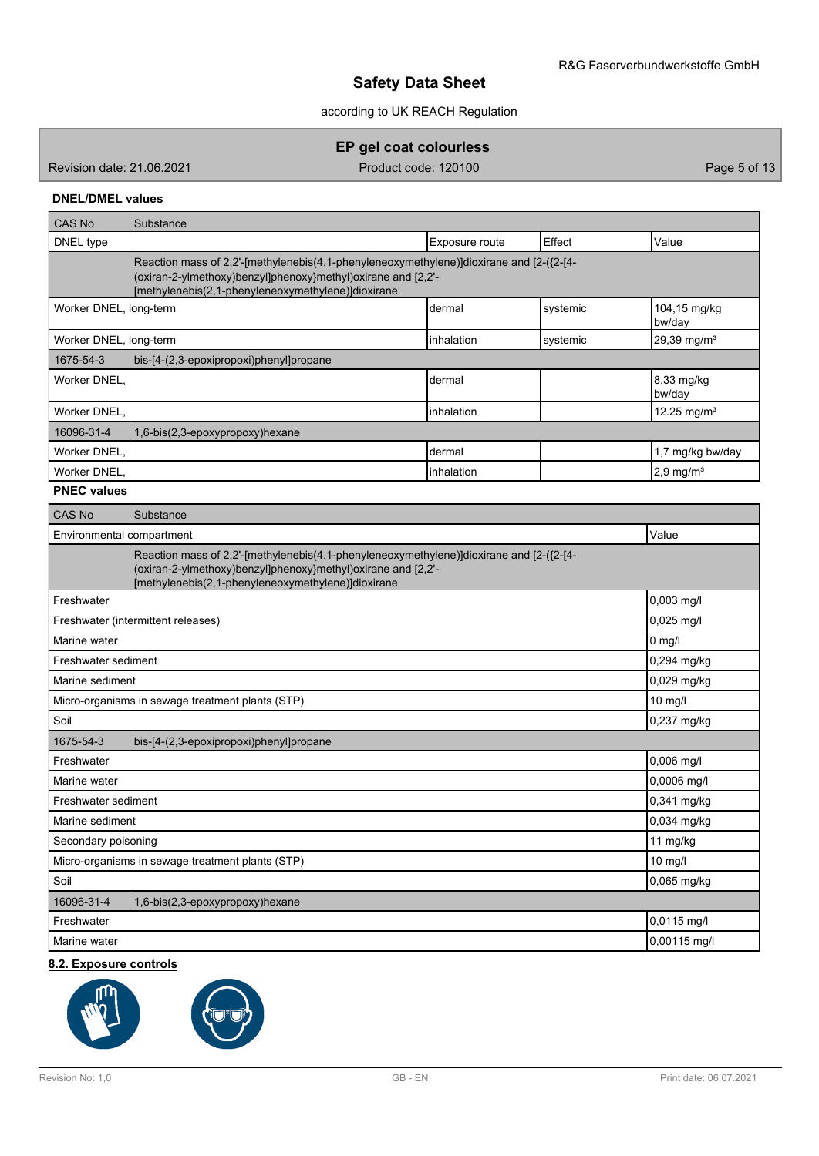according to UK REACH Regulation

**EP gel coat colourless**

Revision date: 21.06.2021 **Product code: 120100** Page 5 of 13

## **DNEL/DMEL values**

| Effect<br>Value<br>DNEL type<br>Exposure route                                                                                                                                                                |  |  |  |  |  |
|---------------------------------------------------------------------------------------------------------------------------------------------------------------------------------------------------------------|--|--|--|--|--|
|                                                                                                                                                                                                               |  |  |  |  |  |
| Reaction mass of 2,2'-[methylenebis(4,1-phenyleneoxymethylene)]dioxirane and [2-({2-[4-<br>(oxiran-2-ylmethoxy)benzyl]phenoxy}methyl)oxirane and [2,2'-<br>[methylenebis(2,1-phenyleneoxymethylene)]dioxirane |  |  |  |  |  |
| systemic<br>104,15 mg/kg<br>Worker DNEL, long-term<br>Idermal<br>bw/day                                                                                                                                       |  |  |  |  |  |
| $29,39$ mg/m <sup>3</sup><br>Worker DNEL, long-term<br>linhalation<br>systemic                                                                                                                                |  |  |  |  |  |
| 1675-54-3<br>bis-[4-(2,3-epoxipropoxi)phenyl]propane                                                                                                                                                          |  |  |  |  |  |
| 8,33 mg/kg<br>dermal<br>Worker DNEL,<br>bw/day                                                                                                                                                                |  |  |  |  |  |
| linhalation<br>$12.25 \text{ mg/m}^3$<br>Worker DNEL,                                                                                                                                                         |  |  |  |  |  |
| 16096-31-4<br>1,6-bis(2,3-epoxypropoxy)hexane                                                                                                                                                                 |  |  |  |  |  |
| dermal<br>1,7 mg/kg bw/day<br>Worker DNEL,                                                                                                                                                                    |  |  |  |  |  |
| linhalation<br>Worker DNEL,<br>$2.9$ mg/m <sup>3</sup>                                                                                                                                                        |  |  |  |  |  |

### **PNEC values**

| <b>CAS No</b>       | Substance                                                                                                                                                                                                     |              |  |  |  |  |
|---------------------|---------------------------------------------------------------------------------------------------------------------------------------------------------------------------------------------------------------|--------------|--|--|--|--|
|                     | Value<br>Environmental compartment                                                                                                                                                                            |              |  |  |  |  |
|                     | Reaction mass of 2,2'-[methylenebis(4,1-phenyleneoxymethylene)]dioxirane and [2-({2-[4-<br>(oxiran-2-ylmethoxy)benzyl]phenoxy}methyl)oxirane and [2,2'-<br>[methylenebis(2,1-phenyleneoxymethylene)]dioxirane |              |  |  |  |  |
| Freshwater          |                                                                                                                                                                                                               | 0,003 mg/l   |  |  |  |  |
|                     | Freshwater (intermittent releases)                                                                                                                                                                            | 0,025 mg/l   |  |  |  |  |
| Marine water        |                                                                                                                                                                                                               | $0$ mg/l     |  |  |  |  |
| Freshwater sediment |                                                                                                                                                                                                               | 0,294 mg/kg  |  |  |  |  |
| Marine sediment     |                                                                                                                                                                                                               | 0,029 mg/kg  |  |  |  |  |
|                     | Micro-organisms in sewage treatment plants (STP)                                                                                                                                                              | 10 mg/l      |  |  |  |  |
| Soil                |                                                                                                                                                                                                               | 0,237 mg/kg  |  |  |  |  |
| 1675-54-3           | bis-[4-(2,3-epoxipropoxi)phenyl]propane                                                                                                                                                                       |              |  |  |  |  |
| Freshwater          |                                                                                                                                                                                                               | 0,006 mg/l   |  |  |  |  |
| Marine water        |                                                                                                                                                                                                               | 0,0006 mg/l  |  |  |  |  |
| Freshwater sediment |                                                                                                                                                                                                               | 0,341 mg/kg  |  |  |  |  |
| Marine sediment     |                                                                                                                                                                                                               | 0,034 mg/kg  |  |  |  |  |
| Secondary poisoning |                                                                                                                                                                                                               | 11 mg/kg     |  |  |  |  |
|                     | Micro-organisms in sewage treatment plants (STP)                                                                                                                                                              | 10 mg/l      |  |  |  |  |
| Soil                |                                                                                                                                                                                                               | 0,065 mg/kg  |  |  |  |  |
| 16096-31-4          | 1,6-bis(2,3-epoxypropoxy)hexane                                                                                                                                                                               |              |  |  |  |  |
| Freshwater          |                                                                                                                                                                                                               | 0,0115 mg/l  |  |  |  |  |
| Marine water        |                                                                                                                                                                                                               | 0,00115 mg/l |  |  |  |  |

# **8.2. Exposure controls**

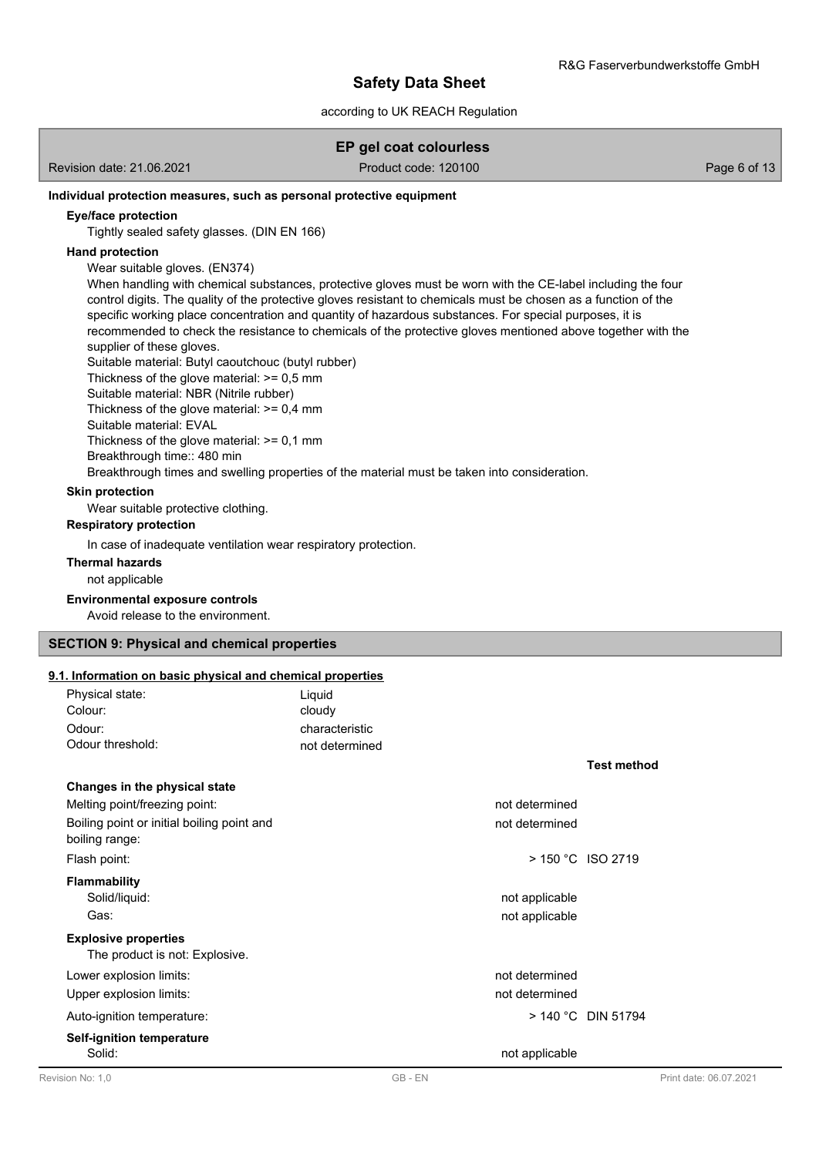### according to UK REACH Regulation

| Revision date: 21.06.2021 |  |  |
|---------------------------|--|--|
|                           |  |  |

**EP gel coat colourless**

Product code: 120100 Product code: 120100

### **Individual protection measures, such as personal protective equipment**

#### **Eye/face protection**

Tightly sealed safety glasses. (DIN EN 166)

### **Hand protection**

Wear suitable gloves. (EN374)

When handling with chemical substances, protective gloves must be worn with the CE-label including the four control digits. The quality of the protective gloves resistant to chemicals must be chosen as a function of the specific working place concentration and quantity of hazardous substances. For special purposes, it is recommended to check the resistance to chemicals of the protective gloves mentioned above together with the supplier of these gloves.

Suitable material: Butyl caoutchouc (butyl rubber)

Thickness of the glove material: >= 0,5 mm

Suitable material: NBR (Nitrile rubber)

Thickness of the glove material:  $>= 0.4$  mm

Suitable material: EVAL

Thickness of the glove material: >= 0,1 mm

Breakthrough time:: 480 min

Breakthrough times and swelling properties of the material must be taken into consideration.

### **Skin protection**

Wear suitable protective clothing.

### **Respiratory protection**

In case of inadequate ventilation wear respiratory protection.

**Thermal hazards**

not applicable

### **Environmental exposure controls**

Avoid release to the environment.

### **SECTION 9: Physical and chemical properties**

### **9.1. Information on basic physical and chemical properties**

| Physical state:<br>Colour:                                    | Liquid<br>cloudy |                      |
|---------------------------------------------------------------|------------------|----------------------|
| Odour:                                                        | characteristic   |                      |
| Odour threshold:                                              | not determined   |                      |
|                                                               |                  | <b>Test method</b>   |
| Changes in the physical state                                 |                  |                      |
| Melting point/freezing point:                                 | not determined   |                      |
| Boiling point or initial boiling point and<br>boiling range:  | not determined   |                      |
| Flash point:                                                  |                  | $>$ 150 °C ISO 2719  |
| <b>Flammability</b>                                           |                  |                      |
| Solid/liquid:                                                 | not applicable   |                      |
| Gas:                                                          | not applicable   |                      |
| <b>Explosive properties</b><br>The product is not: Explosive. |                  |                      |
| Lower explosion limits:                                       | not determined   |                      |
| Upper explosion limits:                                       | not determined   |                      |
| Auto-ignition temperature:                                    |                  | $>$ 140 °C DIN 51794 |
| <b>Self-ignition temperature</b>                              |                  |                      |
| Solid:                                                        | not applicable   |                      |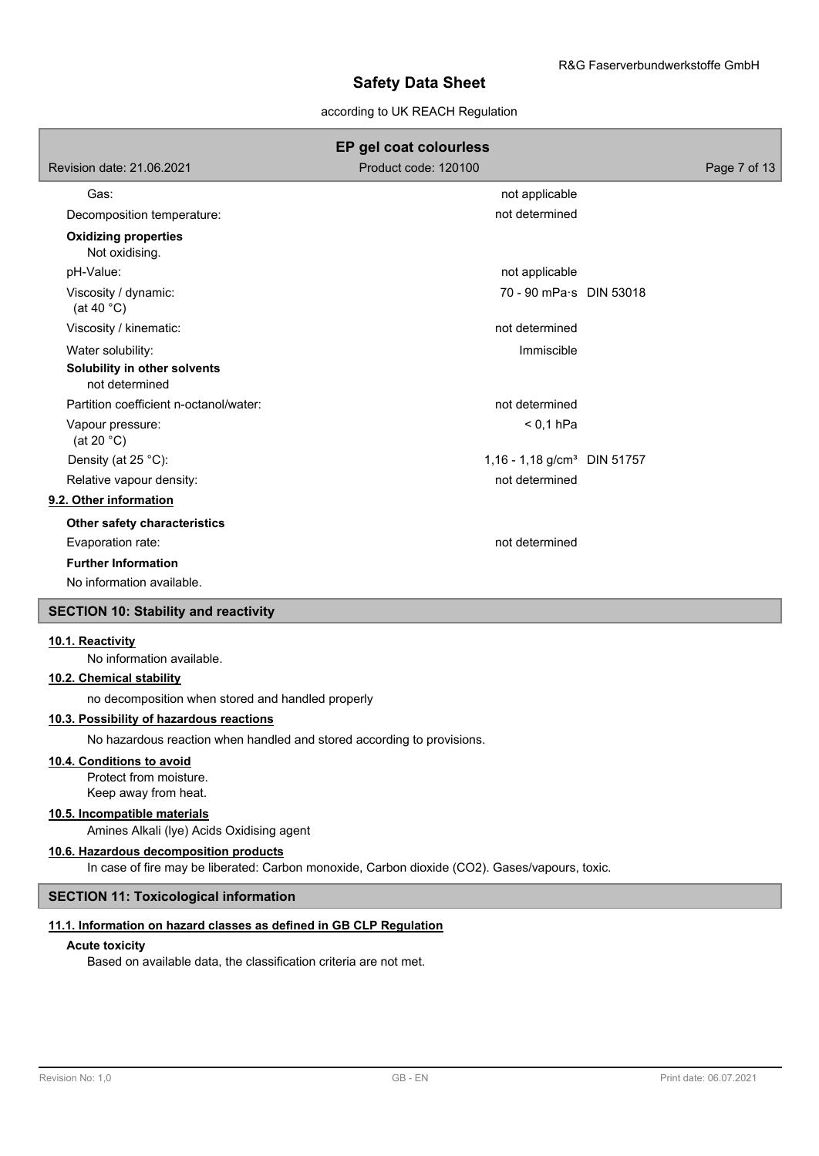### according to UK REACH Regulation

|                                                | EP gel coat colourless                  |              |
|------------------------------------------------|-----------------------------------------|--------------|
| Revision date: 21.06.2021                      | Product code: 120100                    | Page 7 of 13 |
| Gas:                                           | not applicable                          |              |
| Decomposition temperature:                     | not determined                          |              |
| <b>Oxidizing properties</b><br>Not oxidising.  |                                         |              |
| pH-Value:                                      | not applicable                          |              |
| Viscosity / dynamic:<br>(at 40 $^{\circ}$ C)   | 70 - 90 mPa·s DIN 53018                 |              |
| Viscosity / kinematic:                         | not determined                          |              |
| Water solubility:                              | Immiscible                              |              |
| Solubility in other solvents<br>not determined |                                         |              |
| Partition coefficient n-octanol/water:         | not determined                          |              |
| Vapour pressure:<br>(at 20 $°C$ )              | $< 0.1$ hPa                             |              |
| Density (at 25 °C):                            | 1,16 - 1,18 g/cm <sup>3</sup> DIN 51757 |              |
| Relative vapour density:                       | not determined                          |              |
| 9.2. Other information                         |                                         |              |
| Other safety characteristics                   |                                         |              |
| Evaporation rate:                              | not determined                          |              |
| <b>Further Information</b>                     |                                         |              |
| No information available.                      |                                         |              |
| <b>SECTION 10: Stability and reactivity</b>    |                                         |              |
|                                                |                                         |              |

#### **10.1. Reactivity**

No information available.

#### **10.2. Chemical stability**

no decomposition when stored and handled properly

# **10.3. Possibility of hazardous reactions**

No hazardous reaction when handled and stored according to provisions.

### **10.4. Conditions to avoid**

Protect from moisture. Keep away from heat.

### **10.5. Incompatible materials**

Amines Alkali (lye) Acids Oxidising agent

### **10.6. Hazardous decomposition products**

In case of fire may be liberated: Carbon monoxide, Carbon dioxide (CO2). Gases/vapours, toxic.

### **SECTION 11: Toxicological information**

### **11.1. Information on hazard classes as defined in GB CLP Regulation**

### **Acute toxicity**

Based on available data, the classification criteria are not met.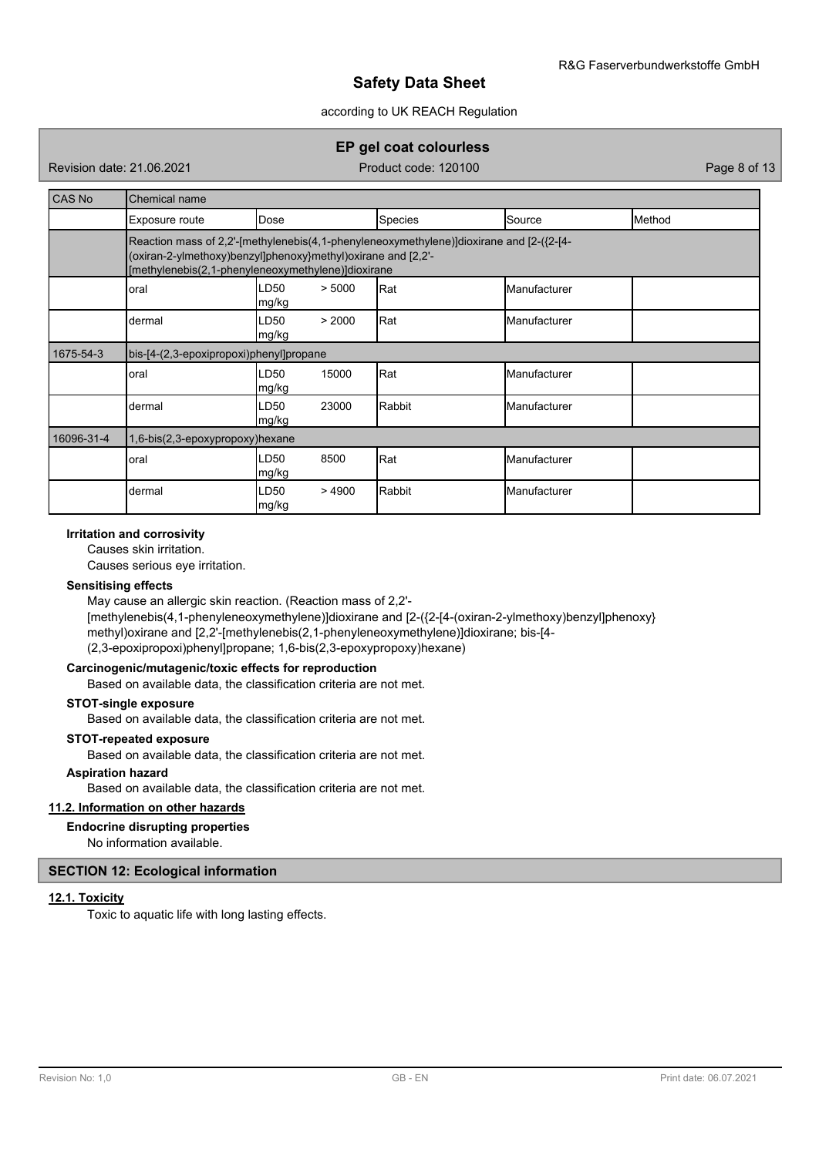### according to UK REACH Regulation

# **EP gel coat colourless**

Revision date: 21.06.2021 **Product code: 120100** Page 8 of 13

| CAS No     | Chemical name                                                                                                                                                                                                 |                                    |         |              |        |  |  |  |  |
|------------|---------------------------------------------------------------------------------------------------------------------------------------------------------------------------------------------------------------|------------------------------------|---------|--------------|--------|--|--|--|--|
|            | Exposure route                                                                                                                                                                                                | Dose                               | Species | Source       | Method |  |  |  |  |
|            | Reaction mass of 2,2'-[methylenebis(4,1-phenyleneoxymethylene)]dioxirane and [2-({2-[4-<br>(oxiran-2-ylmethoxy)benzyl]phenoxy}methyl)oxirane and [2,2'-<br>[methylenebis(2,1-phenyleneoxymethylene)]dioxirane |                                    |         |              |        |  |  |  |  |
|            | LD50<br>> 5000<br>Rat<br>Manufacturer<br>oral<br>mg/kg                                                                                                                                                        |                                    |         |              |        |  |  |  |  |
|            | dermal                                                                                                                                                                                                        | > 2000<br>LD50<br>mg/kg            | Rat     | Manufacturer |        |  |  |  |  |
| 1675-54-3  | bis-[4-(2,3-epoxipropoxi)phenyl]propane                                                                                                                                                                       |                                    |         |              |        |  |  |  |  |
|            | oral                                                                                                                                                                                                          | LD <sub>50</sub><br>15000<br>mg/kg | Rat     | Manufacturer |        |  |  |  |  |
|            | dermal                                                                                                                                                                                                        | 23000<br>LD <sub>50</sub><br>mg/kg | Rabbit  | Manufacturer |        |  |  |  |  |
| 16096-31-4 | 1,6-bis(2,3-epoxypropoxy)hexane                                                                                                                                                                               |                                    |         |              |        |  |  |  |  |
|            | oral                                                                                                                                                                                                          | LD <sub>50</sub><br>8500<br> mg/kg | Rat     | Manufacturer |        |  |  |  |  |
|            | dermal                                                                                                                                                                                                        | LD <sub>50</sub><br>>4900<br>mg/kg | Rabbit  | Manufacturer |        |  |  |  |  |

### **Irritation and corrosivity**

Causes skin irritation.

Causes serious eye irritation.

### **Sensitising effects**

May cause an allergic skin reaction. (Reaction mass of 2,2'- [methylenebis(4,1-phenyleneoxymethylene)]dioxirane and [2-({2-[4-(oxiran-2-ylmethoxy)benzyl]phenoxy} methyl)oxirane and [2,2'-[methylenebis(2,1-phenyleneoxymethylene)]dioxirane; bis-[4- (2,3-epoxipropoxi)phenyl]propane; 1,6-bis(2,3-epoxypropoxy)hexane)

### **Carcinogenic/mutagenic/toxic effects for reproduction**

Based on available data, the classification criteria are not met.

### **STOT-single exposure**

Based on available data, the classification criteria are not met.

### **STOT-repeated exposure**

Based on available data, the classification criteria are not met.

#### **Aspiration hazard**

Based on available data, the classification criteria are not met.

### **11.2. Information on other hazards**

### **Endocrine disrupting properties**

No information available.

### **SECTION 12: Ecological information**

### **12.1. Toxicity**

Toxic to aquatic life with long lasting effects.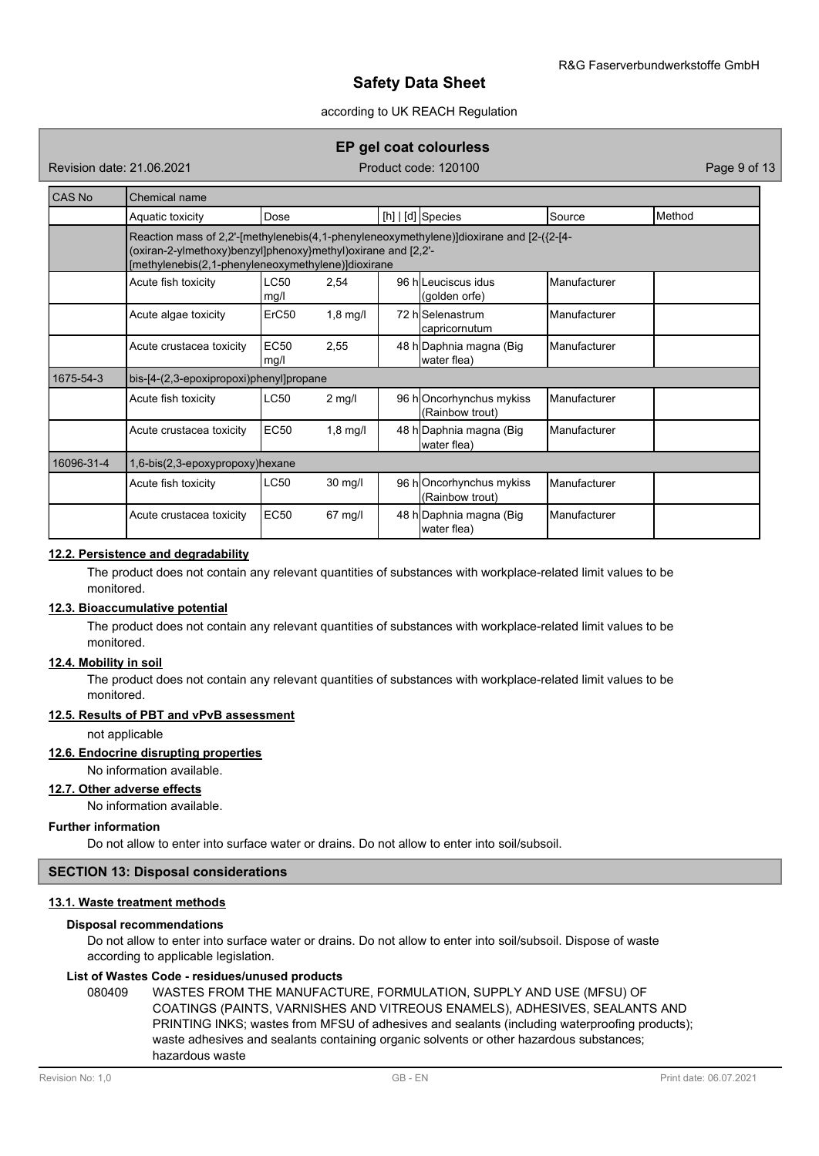### according to UK REACH Regulation

### **EP gel coat colourless**

Revision date: 21.06.2021 **Product code: 120100** Page 9 of 13

| CAS No     | Chemical name                                                                                                                                                                                                 |                     |            |  |                                             |                     |        |  |  |
|------------|---------------------------------------------------------------------------------------------------------------------------------------------------------------------------------------------------------------|---------------------|------------|--|---------------------------------------------|---------------------|--------|--|--|
|            | Aquatic toxicity                                                                                                                                                                                              | Dose                |            |  | [h]   [d] Species                           | Source              | Method |  |  |
|            | Reaction mass of 2,2'-[methylenebis(4,1-phenyleneoxymethylene)]dioxirane and [2-({2-[4-<br>(oxiran-2-ylmethoxy)benzyl]phenoxy}methyl)oxirane and [2,2'-<br>[methylenebis(2,1-phenyleneoxymethylene)]dioxirane |                     |            |  |                                             |                     |        |  |  |
|            | <b>LC50</b><br>Acute fish toxicity<br>2,54<br>96 hlLeuciscus idus<br>Manufacturer<br>(golden orfe)<br>mg/l                                                                                                    |                     |            |  |                                             |                     |        |  |  |
|            | Acute algae toxicity                                                                                                                                                                                          | ErC <sub>50</sub>   | $1,8$ mg/l |  | 72 hlSelenastrum<br>capricornutum           | Manufacturer        |        |  |  |
|            | Acute crustacea toxicity                                                                                                                                                                                      | <b>EC50</b><br>mg/l | 2,55       |  | 48 h Daphnia magna (Big<br>water flea)      | Manufacturer        |        |  |  |
| 1675-54-3  | bis-[4-(2,3-epoxipropoxi)phenyl]propane                                                                                                                                                                       |                     |            |  |                                             |                     |        |  |  |
|            | Acute fish toxicity                                                                                                                                                                                           | <b>LC50</b>         | $2$ mg/l   |  | 96 hOncorhynchus mykiss<br>(Rainbow trout)  | Manufacturer        |        |  |  |
|            | Acute crustacea toxicity                                                                                                                                                                                      | <b>EC50</b>         | $1,8$ mg/l |  | 48 h Daphnia magna (Big<br>water flea)      | Manufacturer        |        |  |  |
| 16096-31-4 | 1,6-bis(2,3-epoxypropoxy)hexane                                                                                                                                                                               |                     |            |  |                                             |                     |        |  |  |
|            | Acute fish toxicity                                                                                                                                                                                           | <b>LC50</b>         | $30$ mg/l  |  | 96 h Oncorhynchus mykiss<br>(Rainbow trout) | Manufacturer        |        |  |  |
|            | Acute crustacea toxicity                                                                                                                                                                                      | EC50                | $67$ mg/l  |  | 48 h Daphnia magna (Big<br>water flea)      | <b>Manufacturer</b> |        |  |  |

### **12.2. Persistence and degradability**

The product does not contain any relevant quantities of substances with workplace-related limit values to be monitored.

### **12.3. Bioaccumulative potential**

The product does not contain any relevant quantities of substances with workplace-related limit values to be monitored.

### **12.4. Mobility in soil**

The product does not contain any relevant quantities of substances with workplace-related limit values to be monitored.

#### **12.5. Results of PBT and vPvB assessment**

not applicable

### **12.6. Endocrine disrupting properties**

No information available.

**12.7. Other adverse effects**

No information available.

### **Further information**

Do not allow to enter into surface water or drains. Do not allow to enter into soil/subsoil.

### **SECTION 13: Disposal considerations**

### **13.1. Waste treatment methods**

#### **Disposal recommendations**

Do not allow to enter into surface water or drains. Do not allow to enter into soil/subsoil. Dispose of waste according to applicable legislation.

### **List of Wastes Code - residues/unused products**

080409 WASTES FROM THE MANUFACTURE, FORMULATION, SUPPLY AND USE (MFSU) OF COATINGS (PAINTS, VARNISHES AND VITREOUS ENAMELS), ADHESIVES, SEALANTS AND PRINTING INKS; wastes from MFSU of adhesives and sealants (including waterproofing products); waste adhesives and sealants containing organic solvents or other hazardous substances; hazardous waste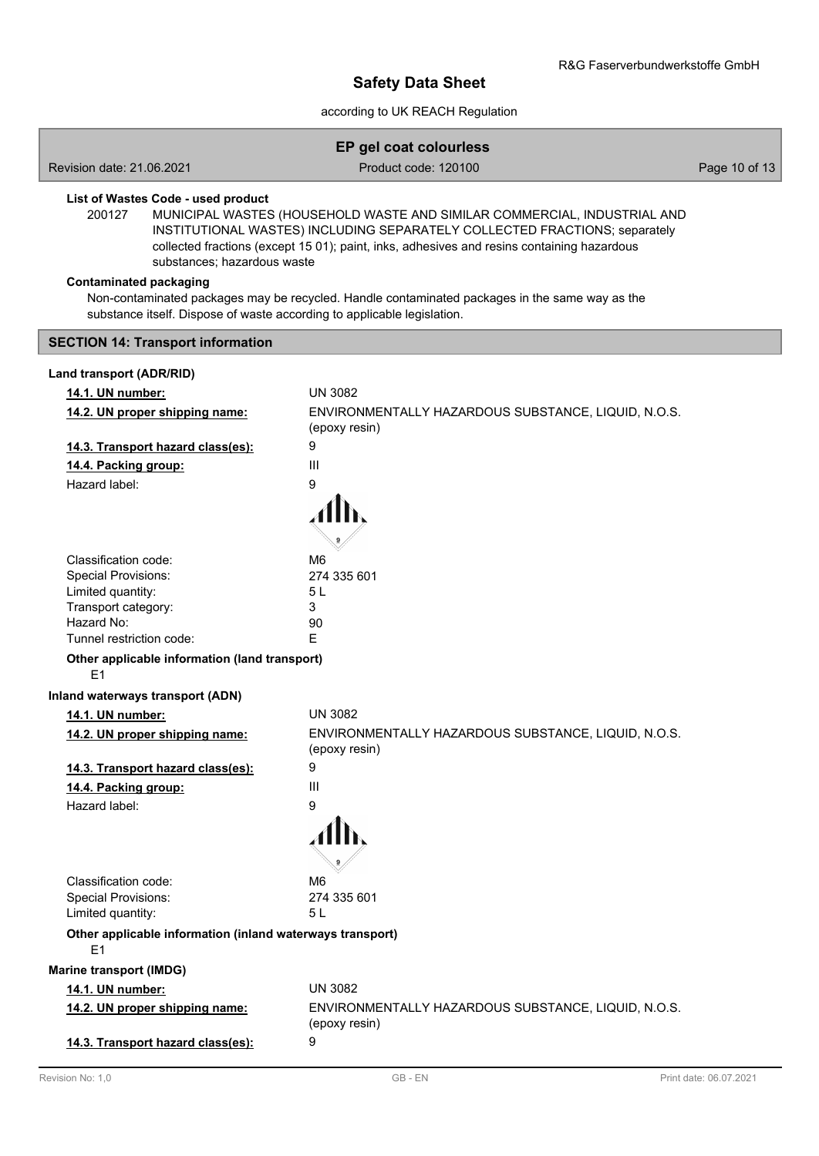# according to UK REACH Regulation

|                                                                                                          | EP gel coat colourless                                                                                                                                                                                                                               |               |
|----------------------------------------------------------------------------------------------------------|------------------------------------------------------------------------------------------------------------------------------------------------------------------------------------------------------------------------------------------------------|---------------|
| Revision date: 21.06.2021                                                                                | Product code: 120100                                                                                                                                                                                                                                 | Page 10 of 13 |
| List of Wastes Code - used product<br>200127<br>substances; hazardous waste                              | MUNICIPAL WASTES (HOUSEHOLD WASTE AND SIMILAR COMMERCIAL, INDUSTRIAL AND<br>INSTITUTIONAL WASTES) INCLUDING SEPARATELY COLLECTED FRACTIONS; separately<br>collected fractions (except 15 01); paint, inks, adhesives and resins containing hazardous |               |
| <b>Contaminated packaging</b><br>substance itself. Dispose of waste according to applicable legislation. | Non-contaminated packages may be recycled. Handle contaminated packages in the same way as the                                                                                                                                                       |               |
| <b>SECTION 14: Transport information</b>                                                                 |                                                                                                                                                                                                                                                      |               |
| Land transport (ADR/RID)                                                                                 |                                                                                                                                                                                                                                                      |               |
| 14.1. UN number:                                                                                         | <b>UN 3082</b>                                                                                                                                                                                                                                       |               |
| 14.2. UN proper shipping name:                                                                           | ENVIRONMENTALLY HAZARDOUS SUBSTANCE, LIQUID, N.O.S.<br>(epoxy resin)                                                                                                                                                                                 |               |
| 14.3. Transport hazard class(es):                                                                        | 9                                                                                                                                                                                                                                                    |               |
| 14.4. Packing group:                                                                                     | III                                                                                                                                                                                                                                                  |               |
| Hazard label:                                                                                            | 9                                                                                                                                                                                                                                                    |               |
|                                                                                                          |                                                                                                                                                                                                                                                      |               |
| Classification code:                                                                                     | M <sub>6</sub>                                                                                                                                                                                                                                       |               |
| Special Provisions:<br>Limited quantity:                                                                 | 274 335 601<br>5L                                                                                                                                                                                                                                    |               |
| Transport category:                                                                                      | 3                                                                                                                                                                                                                                                    |               |
| Hazard No:                                                                                               | 90                                                                                                                                                                                                                                                   |               |
| Tunnel restriction code:                                                                                 | E                                                                                                                                                                                                                                                    |               |
| Other applicable information (land transport)<br>E1                                                      |                                                                                                                                                                                                                                                      |               |
| Inland waterways transport (ADN)                                                                         |                                                                                                                                                                                                                                                      |               |
| 14.1. UN number:                                                                                         | <b>UN 3082</b>                                                                                                                                                                                                                                       |               |
| 14.2. UN proper shipping name:                                                                           | ENVIRONMENTALLY HAZARDOUS SUBSTANCE, LIQUID, N.O.S.<br>(epoxy resin)                                                                                                                                                                                 |               |
| 14.3. Transport hazard class(es):                                                                        | 9                                                                                                                                                                                                                                                    |               |
| 14.4. Packing group:                                                                                     | III                                                                                                                                                                                                                                                  |               |
| Hazard label:                                                                                            | 9                                                                                                                                                                                                                                                    |               |
| Classification code:                                                                                     | M <sub>6</sub>                                                                                                                                                                                                                                       |               |
| <b>Special Provisions:</b><br>Limited quantity:                                                          | 274 335 601<br>5L                                                                                                                                                                                                                                    |               |
| Other applicable information (inland waterways transport)<br>E1                                          |                                                                                                                                                                                                                                                      |               |
| <b>Marine transport (IMDG)</b>                                                                           |                                                                                                                                                                                                                                                      |               |
| 14.1. UN number:                                                                                         | <b>UN 3082</b>                                                                                                                                                                                                                                       |               |
| 14.2. UN proper shipping name:                                                                           | ENVIRONMENTALLY HAZARDOUS SUBSTANCE, LIQUID, N.O.S.<br>(epoxy resin)                                                                                                                                                                                 |               |
| 14.3. Transport hazard class(es):                                                                        | 9                                                                                                                                                                                                                                                    |               |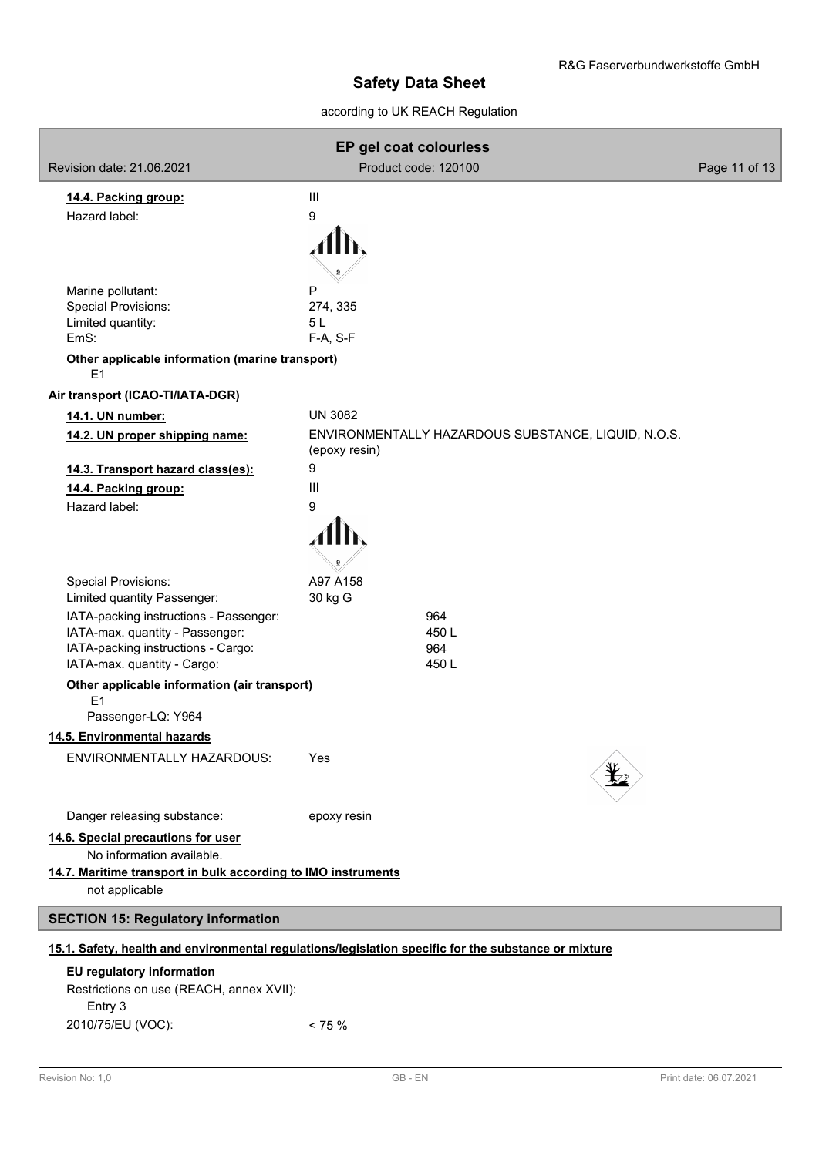# according to UK REACH Regulation

| EP gel coat colourless                                                                               |                      |                                                     |               |
|------------------------------------------------------------------------------------------------------|----------------------|-----------------------------------------------------|---------------|
| Revision date: 21.06.2021                                                                            | Product code: 120100 |                                                     | Page 11 of 13 |
| 14.4. Packing group:                                                                                 | Ш                    |                                                     |               |
| Hazard label:                                                                                        | 9                    |                                                     |               |
|                                                                                                      |                      |                                                     |               |
|                                                                                                      |                      |                                                     |               |
|                                                                                                      |                      |                                                     |               |
| Marine pollutant:<br>Special Provisions:                                                             | P<br>274, 335        |                                                     |               |
| Limited quantity:                                                                                    | 5L                   |                                                     |               |
| EmS:                                                                                                 | F-A, S-F             |                                                     |               |
| Other applicable information (marine transport)<br>E1                                                |                      |                                                     |               |
| Air transport (ICAO-TI/IATA-DGR)                                                                     |                      |                                                     |               |
| 14.1. UN number:                                                                                     | <b>UN 3082</b>       |                                                     |               |
| 14.2. UN proper shipping name:                                                                       | (epoxy resin)        | ENVIRONMENTALLY HAZARDOUS SUBSTANCE, LIQUID, N.O.S. |               |
| 14.3. Transport hazard class(es):                                                                    | 9                    |                                                     |               |
| 14.4. Packing group:                                                                                 | Ш                    |                                                     |               |
| Hazard label:                                                                                        | 9                    |                                                     |               |
|                                                                                                      |                      |                                                     |               |
|                                                                                                      |                      |                                                     |               |
| Special Provisions:                                                                                  | A97 A158             |                                                     |               |
| Limited quantity Passenger:                                                                          | 30 kg G              |                                                     |               |
| IATA-packing instructions - Passenger:                                                               | 964                  |                                                     |               |
| IATA-max. quantity - Passenger:                                                                      | 450L                 |                                                     |               |
| IATA-packing instructions - Cargo:                                                                   | 964                  |                                                     |               |
| IATA-max. quantity - Cargo:                                                                          | 450L                 |                                                     |               |
| Other applicable information (air transport)<br>E <sub>1</sub>                                       |                      |                                                     |               |
| Passenger-LQ: Y964                                                                                   |                      |                                                     |               |
| 14.5. Environmental hazards                                                                          |                      |                                                     |               |
| ENVIRONMENTALLY HAZARDOUS:                                                                           | Yes                  |                                                     |               |
|                                                                                                      |                      |                                                     |               |
|                                                                                                      |                      |                                                     |               |
| Danger releasing substance:                                                                          | epoxy resin          |                                                     |               |
| 14.6. Special precautions for user<br>No information available.                                      |                      |                                                     |               |
| 14.7. Maritime transport in bulk according to IMO instruments                                        |                      |                                                     |               |
| not applicable                                                                                       |                      |                                                     |               |
| <b>SECTION 15: Regulatory information</b>                                                            |                      |                                                     |               |
| 15.1. Safety, health and environmental regulations/legislation specific for the substance or mixture |                      |                                                     |               |
| EU regulatory information                                                                            |                      |                                                     |               |
| Restrictions on use (REACH, annex XVII):                                                             |                      |                                                     |               |
| Entry 3                                                                                              |                      |                                                     |               |

Entry 3 2010/75/EU (VOC): < 75 %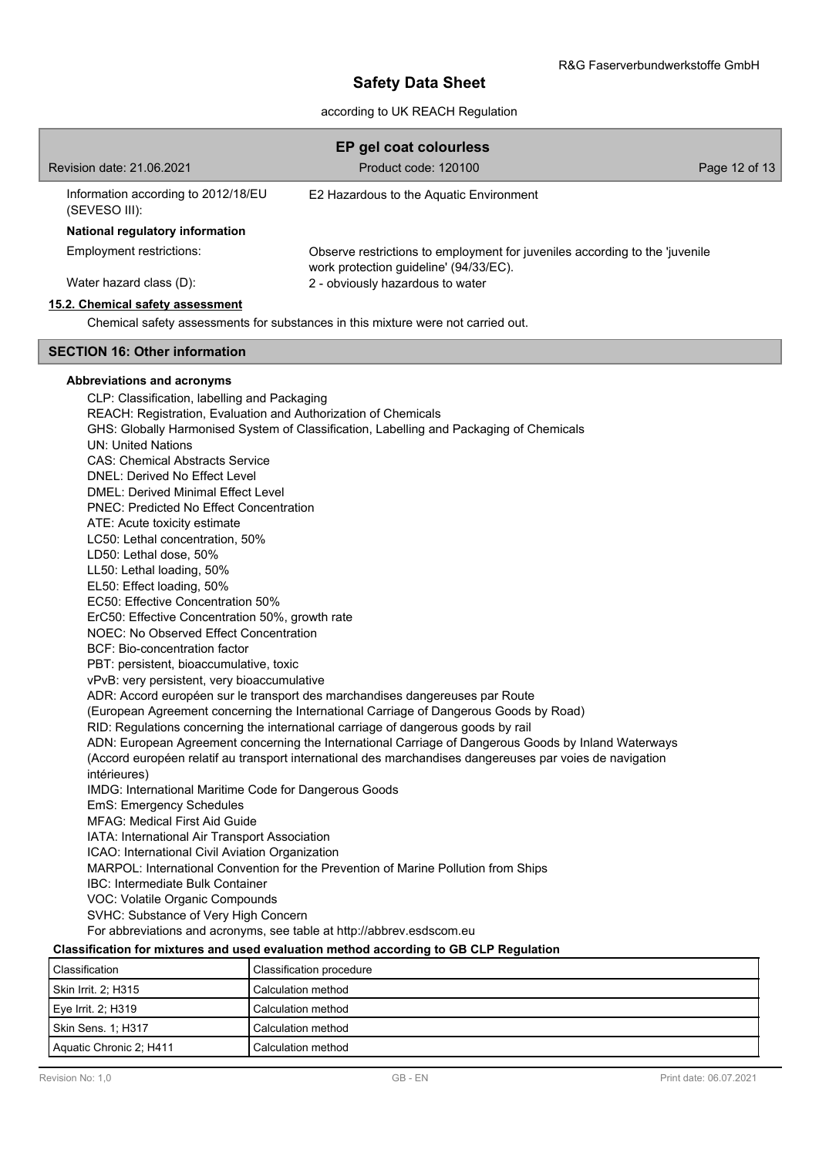### according to UK REACH Regulation

| Revision date: 21.06.2021                            | EP gel coat colourless<br>Product code: 120100                                                                        | Page 12 of 13 |
|------------------------------------------------------|-----------------------------------------------------------------------------------------------------------------------|---------------|
| Information according to 2012/18/EU<br>(SEVESO III): | E2 Hazardous to the Aquatic Environment                                                                               |               |
| National regulatory information                      |                                                                                                                       |               |
| Employment restrictions:                             | Observe restrictions to employment for juveniles according to the 'juvenile<br>work protection guideline' (94/33/EC). |               |
| Water hazard class (D):                              | 2 - obviously hazardous to water                                                                                      |               |
| 15.2. Chemical safety assessment                     |                                                                                                                       |               |

Chemical safety assessments for substances in this mixture were not carried out.

### **SECTION 16: Other information**

### **Abbreviations and acronyms**

CLP: Classification, labelling and Packaging REACH: Registration, Evaluation and Authorization of Chemicals GHS: Globally Harmonised System of Classification, Labelling and Packaging of Chemicals UN: United Nations CAS: Chemical Abstracts Service DNEL: Derived No Effect Level DMEL: Derived Minimal Effect Level PNEC: Predicted No Effect Concentration ATE: Acute toxicity estimate LC50: Lethal concentration, 50% LD50: Lethal dose, 50% LL50: Lethal loading, 50% EL50: Effect loading, 50% EC50: Effective Concentration 50% ErC50: Effective Concentration 50%, growth rate NOEC: No Observed Effect Concentration BCF: Bio-concentration factor PBT: persistent, bioaccumulative, toxic vPvB: very persistent, very bioaccumulative ADR: Accord européen sur le transport des marchandises dangereuses par Route (European Agreement concerning the International Carriage of Dangerous Goods by Road) RID: Regulations concerning the international carriage of dangerous goods by rail ADN: European Agreement concerning the International Carriage of Dangerous Goods by Inland Waterways (Accord européen relatif au transport international des marchandises dangereuses par voies de navigation intérieures) IMDG: International Maritime Code for Dangerous Goods EmS: Emergency Schedules MFAG: Medical First Aid Guide IATA: International Air Transport Association ICAO: International Civil Aviation Organization MARPOL: International Convention for the Prevention of Marine Pollution from Ships IBC: Intermediate Bulk Container VOC: Volatile Organic Compounds SVHC: Substance of Very High Concern For abbreviations and acronyms, see table at http://abbrev.esdscom.eu **Classification for mixtures and used evaluation method according to GB CLP Regulation**

| Classification          | Classification procedure |
|-------------------------|--------------------------|
| Skin Irrit. 2: H315     | Calculation method       |
| Eye Irrit. 2; H319      | Calculation method       |
| Skin Sens. 1; H317      | Calculation method       |
| Aguatic Chronic 2: H411 | Calculation method       |